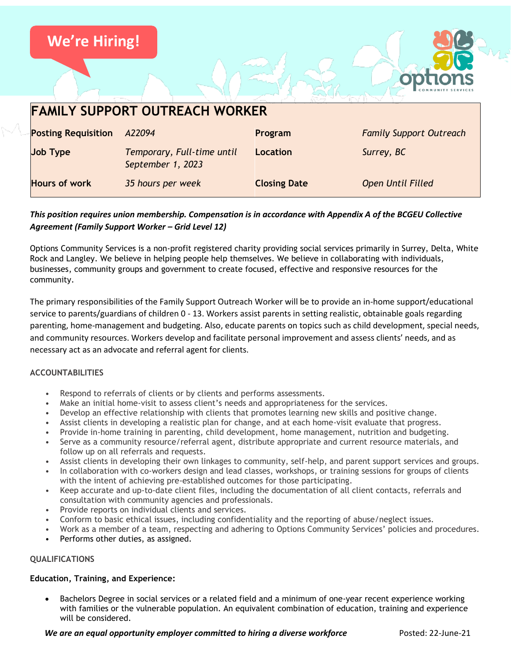

# *This position requires union membership. Compensation is in accordance with Appendix A of the BCGEU Collective Agreement (Family Support Worker – Grid Level 12)*

Options Community Services is a non-profit registered charity providing social services primarily in Surrey, Delta, White Rock and Langley. We believe in helping people help themselves. We believe in collaborating with individuals, businesses, community groups and government to create focused, effective and responsive resources for the community.

The primary responsibilities of the Family Support Outreach Worker will be to provide an in-home support/educational service to parents/guardians of children 0 - 13. Workers assist parents in setting realistic, obtainable goals regarding parenting, home-management and budgeting. Also, educate parents on topics such as child development, special needs, and community resources. Workers develop and facilitate personal improvement and assess clients' needs, and as necessary act as an advocate and referral agent for clients.

# **ACCOUNTABILITIES**

- Respond to referrals of clients or by clients and performs assessments.
- Make an initial home-visit to assess client's needs and appropriateness for the services.
- Develop an effective relationship with clients that promotes learning new skills and positive change.
- Assist clients in developing a realistic plan for change, and at each home-visit evaluate that progress.
- Provide in-home training in parenting, child development, home management, nutrition and budgeting.
- Serve as a community resource/referral agent, distribute appropriate and current resource materials, and follow up on all referrals and requests.
- Assist clients in developing their own linkages to community, self-help, and parent support services and groups.
- In collaboration with co-workers design and lead classes, workshops, or training sessions for groups of clients with the intent of achieving pre-established outcomes for those participating.
- Keep accurate and up-to-date client files, including the documentation of all client contacts, referrals and consultation with community agencies and professionals.
- Provide reports on individual clients and services.
- Conform to basic ethical issues, including confidentiality and the reporting of abuse/neglect issues.
- Work as a member of a team, respecting and adhering to Options Community Services' policies and procedures.
- Performs other duties, as assigned.

# **QUALIFICATIONS**

#### **Education, Training, and Experience:**

• Bachelors Degree in social services or a related field and a minimum of one-year recent experience working with families or the vulnerable population. An equivalent combination of education, training and experience will be considered.